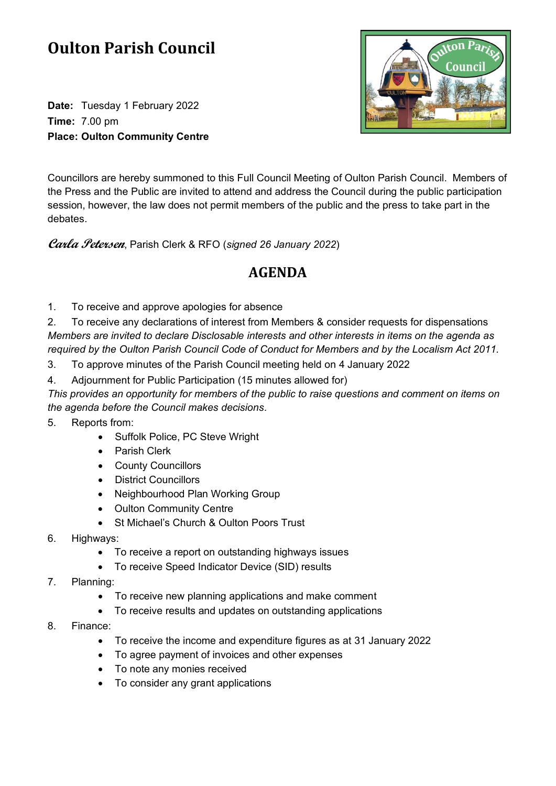## **Oulton Parish Council**

**Date:** Tuesday 1 February 2022 **Time:** 7.00 pm **Place: Oulton Community Centre**



Councillors are hereby summoned to this Full Council Meeting of Oulton Parish Council. Members of the Press and the Public are invited to attend and address the Council during the public participation session, however, the law does not permit members of the public and the press to take part in the debates.

**Carla Petersen**, Parish Clerk & RFO (*signed 26 January 2022*)

## **AGENDA**

1. To receive and approve apologies for absence

2. To receive any declarations of interest from Members & consider requests for dispensations *Members are invited to declare Disclosable interests and other interests in items on the agenda as required by the Oulton Parish Council Code of Conduct for Members and by the Localism Act 2011.*

- 3. To approve minutes of the Parish Council meeting held on 4 January 2022
- 4. Adjournment for Public Participation (15 minutes allowed for)

*This provides an opportunity for members of the public to raise questions and comment on items on the agenda before the Council makes decisions.*

5. Reports from:

- Suffolk Police, PC Steve Wright
- Parish Clerk
- County Councillors
- District Councillors
- Neighbourhood Plan Working Group
- Oulton Community Centre
- St Michael's Church & Oulton Poors Trust
- 6. Highways:
	- To receive a report on outstanding highways issues
	- To receive Speed Indicator Device (SID) results
- 7. Planning:
	- To receive new planning applications and make comment
	- To receive results and updates on outstanding applications
- 8. Finance:
	- To receive the income and expenditure figures as at 31 January 2022
	- To agree payment of invoices and other expenses
	- To note any monies received
	- To consider any grant applications